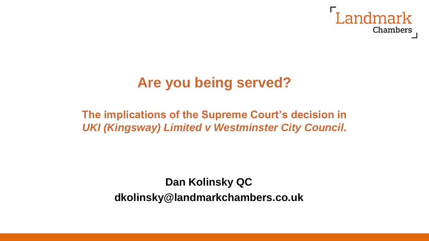

# **Are you being served?**

#### **The implications of the Supreme Court's decision in**  *UKI (Kingsway) Limited v Westminster City Council***.**

**Dan Kolinsky QC dkolinsky@landmarkchambers.co.uk**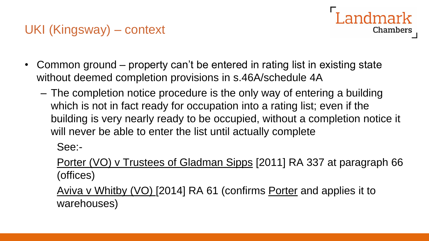## UKI (Kingsway) – context

- Common ground property can't be entered in rating list in existing state without deemed completion provisions in s.46A/schedule 4A
	- The completion notice procedure is the only way of entering a building which is not in fact ready for occupation into a rating list; even if the building is very nearly ready to be occupied, without a completion notice it will never be able to enter the list until actually complete

Landmark

**Chambers** 

See:-

Porter (VO) v Trustees of Gladman Sipps [2011] RA 337 at paragraph 66 (offices)

Aviva v Whitby (VO) [2014] RA 61 (confirms Porter and applies it to warehouses)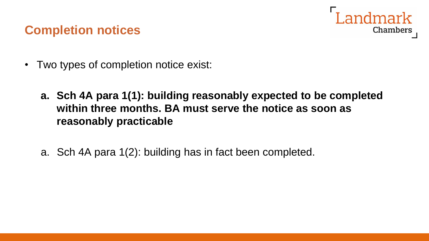

### **Completion notices**

- Two types of completion notice exist:
	- **a. Sch 4A para 1(1): building reasonably expected to be completed within three months. BA must serve the notice as soon as reasonably practicable**
	- a. Sch 4A para 1(2): building has in fact been completed.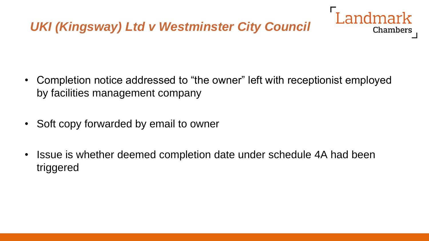• Completion notice addressed to "the owner" left with receptionist employed by facilities management company

andmark

**Chambers** 

- Soft copy forwarded by email to owner
- Issue is whether deemed completion date under schedule 4A had been triggered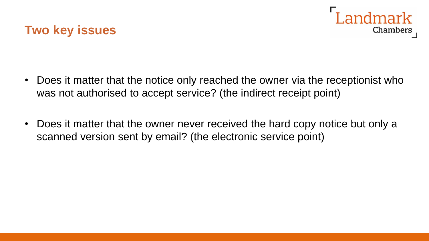



- Does it matter that the notice only reached the owner via the receptionist who was not authorised to accept service? (the indirect receipt point)
- Does it matter that the owner never received the hard copy notice but only a scanned version sent by email? (the electronic service point)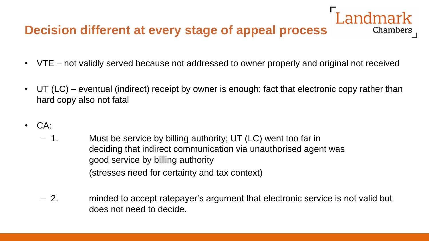## **Decision different at every stage of appeal process**

• VTE – not validly served because not addressed to owner properly and original not received

Chambers

- UT (LC) eventual (indirect) receipt by owner is enough; fact that electronic copy rather than hard copy also not fatal
- CA:
	- 1. Must be service by billing authority; UT (LC) went too far in deciding that indirect communication via unauthorised agent was good service by billing authority (stresses need for certainty and tax context)
	- 2. minded to accept ratepayer's argument that electronic service is not valid but does not need to decide.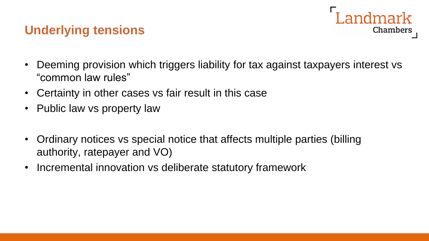### **Underlying tensions**



- Deeming provision which triggers liability for tax against taxpayers interest vs "common law rules"
- Certainty in other cases vs fair result in this case
- Public law vs property law
- Ordinary notices vs special notice that affects multiple parties (billing authority, ratepayer and VO)
- Incremental innovation vs deliberate statutory framework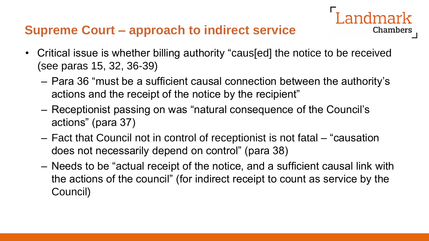## **Supreme Court – approach to indirect service**

- Critical issue is whether billing authority "caus[ed] the notice to be received (see paras 15, 32, 36-39)
	- Para 36 "must be a sufficient causal connection between the authority's actions and the receipt of the notice by the recipient"

Chambers

- Receptionist passing on was "natural consequence of the Council's actions" (para 37)
- Fact that Council not in control of receptionist is not fatal "causation does not necessarily depend on control" (para 38)
- Needs to be "actual receipt of the notice, and a sufficient causal link with the actions of the council" (for indirect receipt to count as service by the Council)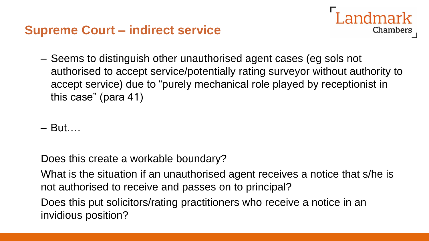### **Supreme Court – indirect service**

- ndmark Chambers
- Seems to distinguish other unauthorised agent cases (eg sols not authorised to accept service/potentially rating surveyor without authority to accept service) due to "purely mechanical role played by receptionist in this case" (para 41)

– But….

Does this create a workable boundary?

What is the situation if an unauthorised agent receives a notice that s/he is not authorised to receive and passes on to principal?

Does this put solicitors/rating practitioners who receive a notice in an invidious position?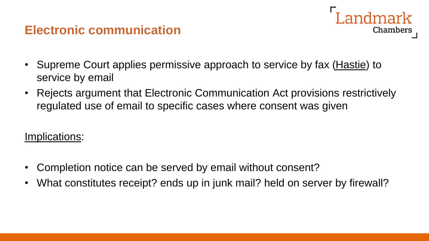#### **Electronic communication**



- Supreme Court applies permissive approach to service by fax (Hastie) to service by email
- Rejects argument that Electronic Communication Act provisions restrictively regulated use of email to specific cases where consent was given

#### Implications:

- Completion notice can be served by email without consent?
- What constitutes receipt? ends up in junk mail? held on server by firewall?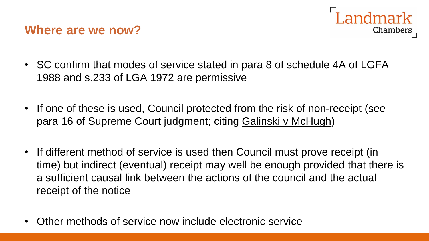### **Where are we now?**



- SC confirm that modes of service stated in para 8 of schedule 4A of LGFA 1988 and s.233 of LGA 1972 are permissive
- If one of these is used, Council protected from the risk of non-receipt (see para 16 of Supreme Court judgment; citing Galinski v McHugh)
- If different method of service is used then Council must prove receipt (in time) but indirect (eventual) receipt may well be enough provided that there is a sufficient causal link between the actions of the council and the actual receipt of the notice
- Other methods of service now include electronic service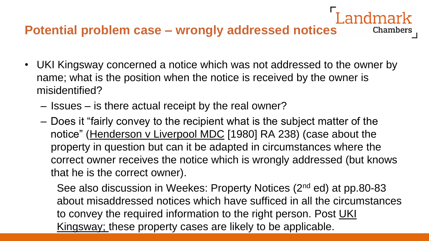### **Potential problem case – wrongly addressed notices**

• UKI Kingsway concerned a notice which was not addressed to the owner by name; what is the position when the notice is received by the owner is misidentified?

Chambers

- Issues is there actual receipt by the real owner?
- Does it "fairly convey to the recipient what is the subject matter of the notice" (Henderson v Liverpool MDC [1980] RA 238) (case about the property in question but can it be adapted in circumstances where the correct owner receives the notice which is wrongly addressed (but knows that he is the correct owner).

See also discussion in Weekes: Property Notices (2<sup>nd</sup> ed) at pp.80-83 about misaddressed notices which have sufficed in all the circumstances to convey the required information to the right person. Post UKI Kingsway; these property cases are likely to be applicable.